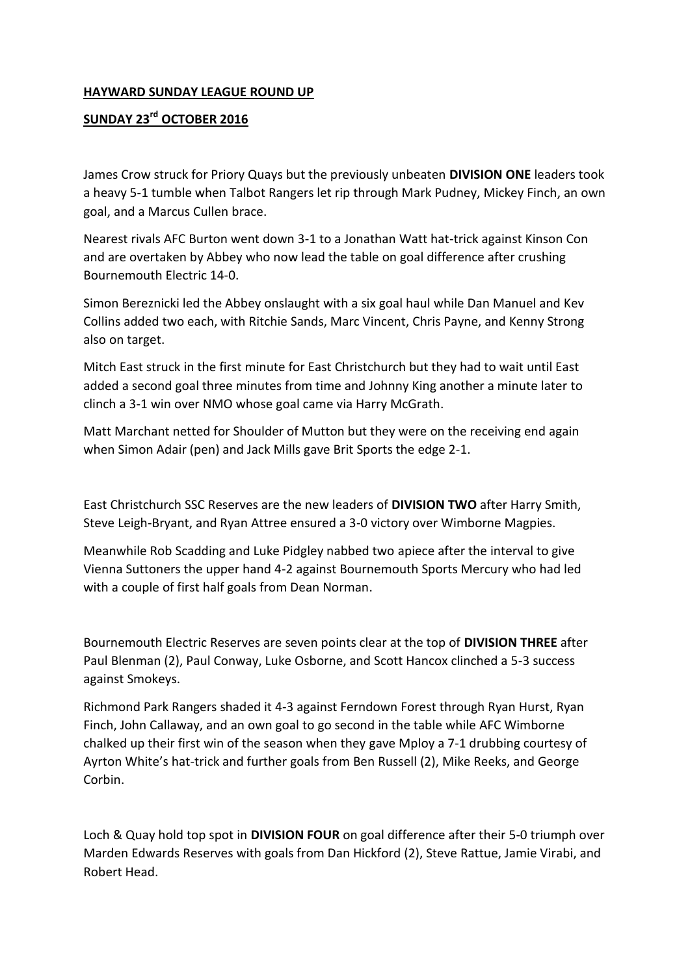## **HAYWARD SUNDAY LEAGUE ROUND UP**

## **SUNDAY 23rd OCTOBER 2016**

James Crow struck for Priory Quays but the previously unbeaten **DIVISION ONE** leaders took a heavy 5-1 tumble when Talbot Rangers let rip through Mark Pudney, Mickey Finch, an own goal, and a Marcus Cullen brace.

Nearest rivals AFC Burton went down 3-1 to a Jonathan Watt hat-trick against Kinson Con and are overtaken by Abbey who now lead the table on goal difference after crushing Bournemouth Electric 14-0.

Simon Bereznicki led the Abbey onslaught with a six goal haul while Dan Manuel and Kev Collins added two each, with Ritchie Sands, Marc Vincent, Chris Payne, and Kenny Strong also on target.

Mitch East struck in the first minute for East Christchurch but they had to wait until East added a second goal three minutes from time and Johnny King another a minute later to clinch a 3-1 win over NMO whose goal came via Harry McGrath.

Matt Marchant netted for Shoulder of Mutton but they were on the receiving end again when Simon Adair (pen) and Jack Mills gave Brit Sports the edge 2-1.

East Christchurch SSC Reserves are the new leaders of **DIVISION TWO** after Harry Smith, Steve Leigh-Bryant, and Ryan Attree ensured a 3-0 victory over Wimborne Magpies.

Meanwhile Rob Scadding and Luke Pidgley nabbed two apiece after the interval to give Vienna Suttoners the upper hand 4-2 against Bournemouth Sports Mercury who had led with a couple of first half goals from Dean Norman.

Bournemouth Electric Reserves are seven points clear at the top of **DIVISION THREE** after Paul Blenman (2), Paul Conway, Luke Osborne, and Scott Hancox clinched a 5-3 success against Smokeys.

Richmond Park Rangers shaded it 4-3 against Ferndown Forest through Ryan Hurst, Ryan Finch, John Callaway, and an own goal to go second in the table while AFC Wimborne chalked up their first win of the season when they gave Mploy a 7-1 drubbing courtesy of Ayrton White's hat-trick and further goals from Ben Russell (2), Mike Reeks, and George Corbin.

Loch & Quay hold top spot in **DIVISION FOUR** on goal difference after their 5-0 triumph over Marden Edwards Reserves with goals from Dan Hickford (2), Steve Rattue, Jamie Virabi, and Robert Head.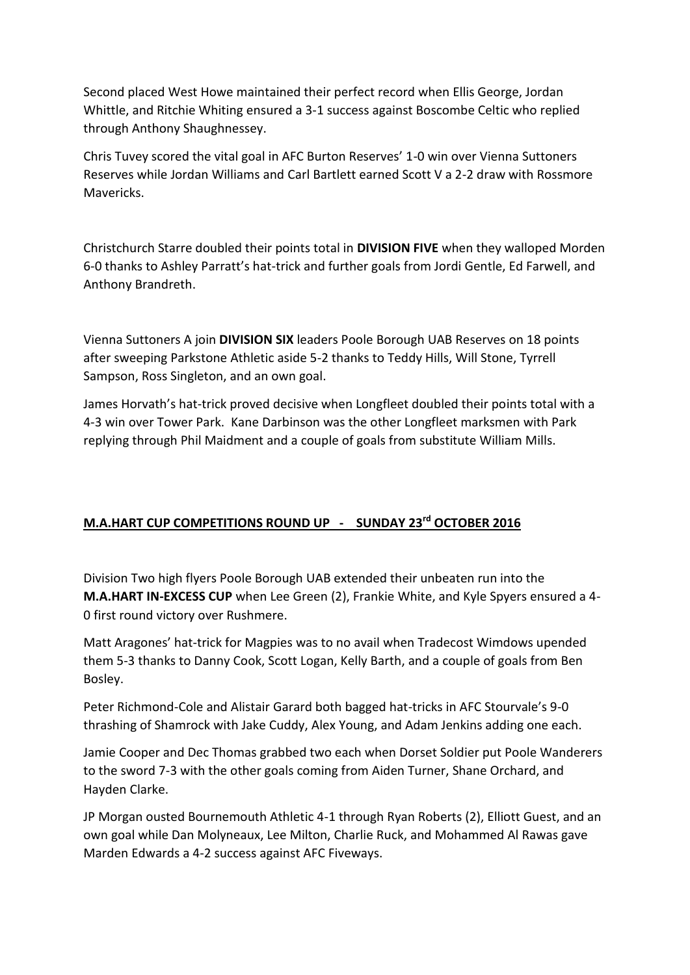Second placed West Howe maintained their perfect record when Ellis George, Jordan Whittle, and Ritchie Whiting ensured a 3-1 success against Boscombe Celtic who replied through Anthony Shaughnessey.

Chris Tuvey scored the vital goal in AFC Burton Reserves' 1-0 win over Vienna Suttoners Reserves while Jordan Williams and Carl Bartlett earned Scott V a 2-2 draw with Rossmore Mavericks.

Christchurch Starre doubled their points total in **DIVISION FIVE** when they walloped Morden 6-0 thanks to Ashley Parratt's hat-trick and further goals from Jordi Gentle, Ed Farwell, and Anthony Brandreth.

Vienna Suttoners A join **DIVISION SIX** leaders Poole Borough UAB Reserves on 18 points after sweeping Parkstone Athletic aside 5-2 thanks to Teddy Hills, Will Stone, Tyrrell Sampson, Ross Singleton, and an own goal.

James Horvath's hat-trick proved decisive when Longfleet doubled their points total with a 4-3 win over Tower Park. Kane Darbinson was the other Longfleet marksmen with Park replying through Phil Maidment and a couple of goals from substitute William Mills.

## **M.A.HART CUP COMPETITIONS ROUND UP - SUNDAY 23rd OCTOBER 2016**

Division Two high flyers Poole Borough UAB extended their unbeaten run into the **M.A.HART IN-EXCESS CUP** when Lee Green (2), Frankie White, and Kyle Spyers ensured a 4- 0 first round victory over Rushmere.

Matt Aragones' hat-trick for Magpies was to no avail when Tradecost Wimdows upended them 5-3 thanks to Danny Cook, Scott Logan, Kelly Barth, and a couple of goals from Ben Bosley.

Peter Richmond-Cole and Alistair Garard both bagged hat-tricks in AFC Stourvale's 9-0 thrashing of Shamrock with Jake Cuddy, Alex Young, and Adam Jenkins adding one each.

Jamie Cooper and Dec Thomas grabbed two each when Dorset Soldier put Poole Wanderers to the sword 7-3 with the other goals coming from Aiden Turner, Shane Orchard, and Hayden Clarke.

JP Morgan ousted Bournemouth Athletic 4-1 through Ryan Roberts (2), Elliott Guest, and an own goal while Dan Molyneaux, Lee Milton, Charlie Ruck, and Mohammed Al Rawas gave Marden Edwards a 4-2 success against AFC Fiveways.